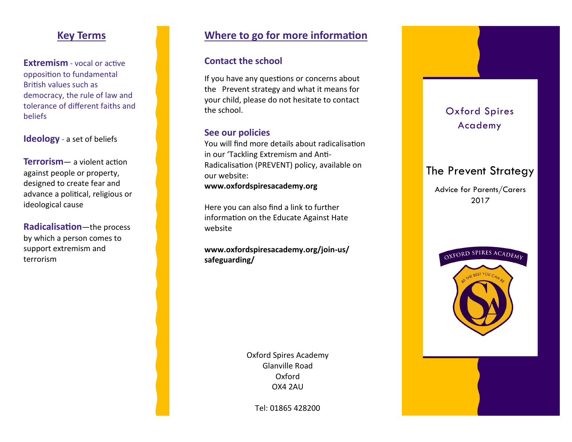## **Key Terms**

**Extremism** - vocal or active opposition to fundamental British values such as democracy, the rule of law and tolerance of different faiths and beliefs

### **Ideology** - a set of beliefs

**Terrorism**— a violent action against people or property, designed to create fear and advance a political, religious or ideological cause

**Radicalisation**—the process by which a person comes to support extremism and terrorism

# **Where to go for more information**

### **Contact the school**

If you have any questions or concerns about the Prevent strategy and what it means for your child, please do not hesitate to contact the school.

#### **See our policies**

You will find more details about radicalisation in our 'Tackling Extremism and Anti-Radicalisation (PREVENT) policy, available on our website:

**www.oxfordspiresacademy.org**

Here you can also find a link to further information on the Educate Against Hate website

**www.oxfordspiresacademy.org/join-us/ safeguarding/**

> Oxford Spires Academy Glanville Road Oxford OX4 2AU

Tel: 01865 428200

# Oxford Spires Academy

# The Prevent Strategy

Advice for Parents/Carers 2017